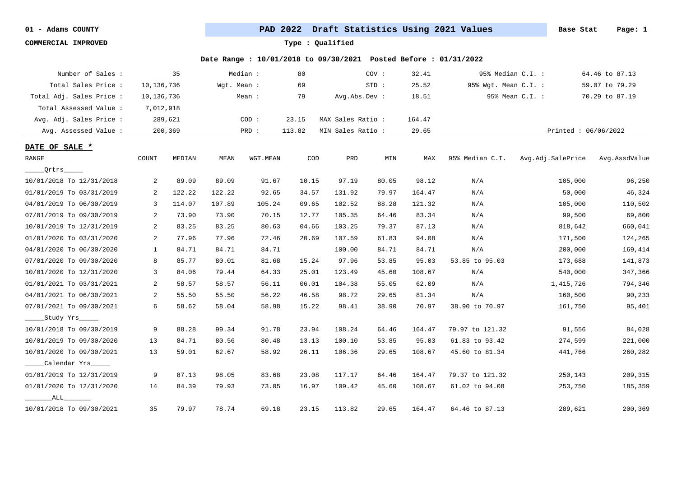**COMMERCIAL IMPROVED Type : Qualified**

| Number of Sales :        |                | 35      |             | Median : | 80     |                   | COV:    | 32.41  |                      | 95% Median C.I. :   | 64.46 to 87.13 |
|--------------------------|----------------|---------|-------------|----------|--------|-------------------|---------|--------|----------------------|---------------------|----------------|
| Total Sales Price:       | 10,136,736     |         | Wgt. Mean : |          | 69     |                   | $STD$ : | 25.52  | 95% Wgt. Mean C.I. : |                     | 59.07 to 79.29 |
| Total Adj. Sales Price : | 10,136,736     |         |             | Mean :   | 79     | Avg.Abs.Dev :     |         | 18.51  |                      | 95% Mean C.I. :     | 70.29 to 87.19 |
| Total Assessed Value:    | 7,012,918      |         |             |          |        |                   |         |        |                      |                     |                |
| Avg. Adj. Sales Price :  |                | 289,621 |             | COD:     | 23.15  | MAX Sales Ratio:  |         | 164.47 |                      |                     |                |
| Avg. Assessed Value :    |                | 200,369 |             | PRD :    | 113.82 | MIN Sales Ratio : |         | 29.65  |                      | Printed: 06/06/2022 |                |
| DATE OF SALE *           |                |         |             |          |        |                   |         |        |                      |                     |                |
| RANGE                    | COUNT          | MEDIAN  | MEAN        | WGT.MEAN | COD    | PRD               | MIN     | MAX    | 95% Median C.I.      | Avg.Adj.SalePrice   | Avg.AssdValue  |
| Qritrs                   |                |         |             |          |        |                   |         |        |                      |                     |                |
| 10/01/2018 To 12/31/2018 | 2              | 89.09   | 89.09       | 91.67    | 10.15  | 97.19             | 80.05   | 98.12  | N/A                  | 105,000             | 96,250         |
| 01/01/2019 To 03/31/2019 | 2              | 122.22  | 122.22      | 92.65    | 34.57  | 131.92            | 79.97   | 164.47 | N/A                  | 50,000              | 46,324         |
| 04/01/2019 To 06/30/2019 | 3              | 114.07  | 107.89      | 105.24   | 09.65  | 102.52            | 88.28   | 121.32 | N/A                  | 105,000             | 110,502        |
| 07/01/2019 To 09/30/2019 | 2              | 73.90   | 73.90       | 70.15    | 12.77  | 105.35            | 64.46   | 83.34  | N/A                  | 99,500              | 69,800         |
| 10/01/2019 To 12/31/2019 | 2              | 83.25   | 83.25       | 80.63    | 04.66  | 103.25            | 79.37   | 87.13  | N/A                  | 818,642             | 660,041        |
| 01/01/2020 To 03/31/2020 | 2              | 77.96   | 77.96       | 72.46    | 20.69  | 107.59            | 61.83   | 94.08  | N/A                  | 171,500             | 124,265        |
| 04/01/2020 To 06/30/2020 | 1              | 84.71   | 84.71       | 84.71    |        | 100.00            | 84.71   | 84.71  | N/A                  | 200,000             | 169,414        |
| 07/01/2020 To 09/30/2020 | 8              | 85.77   | 80.01       | 81.68    | 15.24  | 97.96             | 53.85   | 95.03  | 53.85 to 95.03       | 173,688             | 141,873        |
| 10/01/2020 To 12/31/2020 | $\overline{3}$ | 84.06   | 79.44       | 64.33    | 25.01  | 123.49            | 45.60   | 108.67 | N/A                  | 540,000             | 347,366        |
| 01/01/2021 To 03/31/2021 | 2              | 58.57   | 58.57       | 56.11    | 06.01  | 104.38            | 55.05   | 62.09  | N/A                  | 1,415,726           | 794,346        |
| 04/01/2021 To 06/30/2021 | 2              | 55.50   | 55.50       | 56.22    | 46.58  | 98.72             | 29.65   | 81.34  | N/A                  | 160,500             | 90,233         |
| 07/01/2021 To 09/30/2021 | 6              | 58.62   | 58.04       | 58.98    | 15.22  | 98.41             | 38.90   | 70.97  | 38.90 to 70.97       | 161,750             | 95,401         |
| ___Study Yrs_____        |                |         |             |          |        |                   |         |        |                      |                     |                |
| 10/01/2018 To 09/30/2019 | 9              | 88.28   | 99.34       | 91.78    | 23.94  | 108.24            | 64.46   | 164.47 | 79.97 to 121.32      | 91,556              | 84,028         |
| 10/01/2019 To 09/30/2020 | 13             | 84.71   | 80.56       | 80.48    | 13.13  | 100.10            | 53.85   | 95.03  | 61.83 to 93.42       | 274,599             | 221,000        |
| 10/01/2020 To 09/30/2021 | 13             | 59.01   | 62.67       | 58.92    | 26.11  | 106.36            | 29.65   | 108.67 | 45.60 to 81.34       | 441,766             | 260,282        |
| Calendar Yrs             |                |         |             |          |        |                   |         |        |                      |                     |                |
| 01/01/2019 To 12/31/2019 | 9              | 87.13   | 98.05       | 83.68    | 23.08  | 117.17            | 64.46   | 164.47 | 79.37 to 121.32      | 250,143             | 209,315        |
| 01/01/2020 To 12/31/2020 | 14             | 84.39   | 79.93       | 73.05    | 16.97  | 109.42            | 45.60   | 108.67 | 61.02 to 94.08       | 253,750             | 185,359        |
| ALL                      |                |         |             |          |        |                   |         |        |                      |                     |                |
| 10/01/2018 To 09/30/2021 | 35             | 79.97   | 78.74       | 69.18    | 23.15  | 113.82            | 29.65   | 164.47 | 64.46 to 87.13       | 289,621             | 200,369        |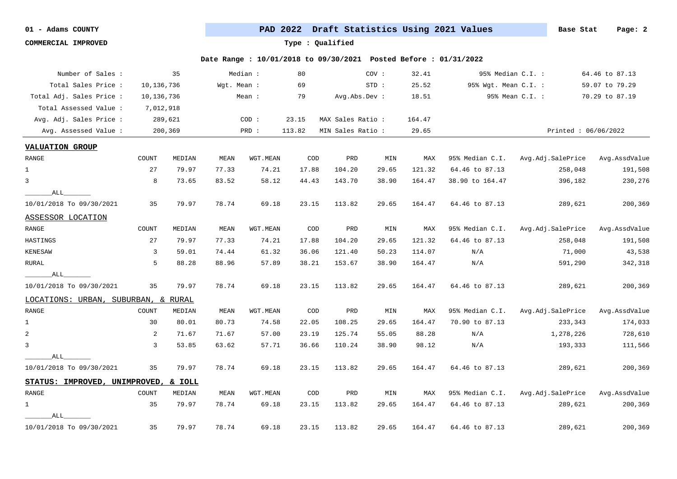**COMMERCIAL IMPROVED Type : Qualified**

| Number of Sales :                   |                | 35      |             | Median : | 80                          |                   | COV:    | 32.41  |                      | 95% Median C.I. :   | 64.46 to 87.13 |
|-------------------------------------|----------------|---------|-------------|----------|-----------------------------|-------------------|---------|--------|----------------------|---------------------|----------------|
| Total Sales Price :                 | 10,136,736     |         | Wqt. Mean : |          | 69                          |                   | $STD$ : | 25.52  | 95% Wgt. Mean C.I. : |                     | 59.07 to 79.29 |
| Total Adj. Sales Price :            | 10,136,736     |         |             | Mean :   | 79                          | Avg.Abs.Dev :     |         | 18.51  |                      | 95% Mean C.I. :     | 70.29 to 87.19 |
| Total Assessed Value :              | 7,012,918      |         |             |          |                             |                   |         |        |                      |                     |                |
| Avg. Adj. Sales Price :             |                | 289,621 |             | COD:     | 23.15                       | MAX Sales Ratio : |         | 164.47 |                      |                     |                |
| Avg. Assessed Value :               |                | 200,369 |             | PRD :    | 113.82                      | MIN Sales Ratio : |         | 29.65  |                      | Printed: 06/06/2022 |                |
| <b>VALUATION GROUP</b>              |                |         |             |          |                             |                   |         |        |                      |                     |                |
| RANGE                               | COUNT          | MEDIAN  | <b>MEAN</b> | WGT.MEAN | COD                         | PRD               | MIN     | MAX    | 95% Median C.I.      | Avg.Adj.SalePrice   | Avg.AssdValue  |
| $\mathbf{1}$                        | 27             | 79.97   | 77.33       | 74.21    | 17.88                       | 104.20            | 29.65   | 121.32 | 64.46 to 87.13       | 258,048             | 191,508        |
| 3                                   | 8              | 73.65   | 83.52       | 58.12    | 44.43                       | 143.70            | 38.90   | 164.47 | 38.90 to 164.47      | 396,182             | 230,276        |
| ALL                                 |                |         |             |          |                             |                   |         |        |                      |                     |                |
| 10/01/2018 To 09/30/2021            | 35             | 79.97   | 78.74       | 69.18    | 23.15                       | 113.82            | 29.65   | 164.47 | 64.46 to 87.13       | 289,621             | 200,369        |
| ASSESSOR LOCATION                   |                |         |             |          |                             |                   |         |        |                      |                     |                |
| $\ensuremath{\mathsf{RANGE}}$       | COUNT          | MEDIAN  | <b>MEAN</b> | WGT.MEAN | COD                         | PRD               | MIN     | MAX    | 95% Median C.I.      | Avg.Adj.SalePrice   | Avg.AssdValue  |
| HASTINGS                            | 27             | 79.97   | 77.33       | 74.21    | 17.88                       | 104.20            | 29.65   | 121.32 | 64.46 to 87.13       | 258,048             | 191,508        |
| <b>KENESAW</b>                      | $\overline{3}$ | 59.01   | 74.44       | 61.32    | 36.06                       | 121.40            | 50.23   | 114.07 | N/A                  | 71,000              | 43,538         |
| RURAL                               | 5              | 88.28   | 88.96       | 57.89    | 38.21                       | 153.67            | 38.90   | 164.47 | N/A                  | 591,290             | 342,318        |
| ALL                                 |                |         |             |          |                             |                   |         |        |                      |                     |                |
| 10/01/2018 To 09/30/2021            | 35             | 79.97   | 78.74       | 69.18    | 23.15                       | 113.82            | 29.65   | 164.47 | 64.46 to 87.13       | 289,621             | 200,369        |
| LOCATIONS: URBAN, SUBURBAN, & RURAL |                |         |             |          |                             |                   |         |        |                      |                     |                |
| RANGE                               | COUNT          | MEDIAN  | MEAN        | WGT.MEAN | COD                         | PRD               | MIN     | MAX    | 95% Median C.I.      | Avg.Adj.SalePrice   | Avg.AssdValue  |
| $\mathbf{1}$                        | 30             | 80.01   | 80.73       | 74.58    | 22.05                       | 108.25            | 29.65   | 164.47 | 70.90 to 87.13       | 233,343             | 174,033        |
| $\overline{a}$                      | 2              | 71.67   | 71.67       | 57.00    | 23.19                       | 125.74            | 55.05   | 88.28  | N/A                  | 1,278,226           | 728,610        |
| $\mathbf{3}$                        | $\overline{3}$ | 53.85   | 63.62       | 57.71    | 36.66                       | 110.24            | 38.90   | 98.12  | N/A                  | 193,333             | 111,566        |
| ALL                                 |                |         |             |          |                             |                   |         |        |                      |                     |                |
| 10/01/2018 To 09/30/2021            | 35             | 79.97   | 78.74       | 69.18    | 23.15                       | 113.82            | 29.65   | 164.47 | 64.46 to 87.13       | 289,621             | 200,369        |
| STATUS: IMPROVED, UNIMPROVED,       |                | & IOLL  |             |          |                             |                   |         |        |                      |                     |                |
| ${\tt RANGE}$                       | COUNT          | MEDIAN  | MEAN        | WGT.MEAN | $\mathop{\rm COD}\nolimits$ | PRD               | MIN     | MAX    | 95% Median C.I.      | Avg.Adj.SalePrice   | Avg.AssdValue  |
| 1                                   | 35             | 79.97   | 78.74       | 69.18    | 23.15                       | 113.82            | 29.65   | 164.47 | 64.46 to 87.13       | 289,621             | 200,369        |
| ALL                                 |                |         |             |          |                             |                   |         |        |                      |                     |                |
| 10/01/2018 To 09/30/2021            | 35             | 79.97   | 78.74       | 69.18    | 23.15                       | 113.82            | 29.65   | 164.47 | 64.46 to 87.13       | 289,621             | 200,369        |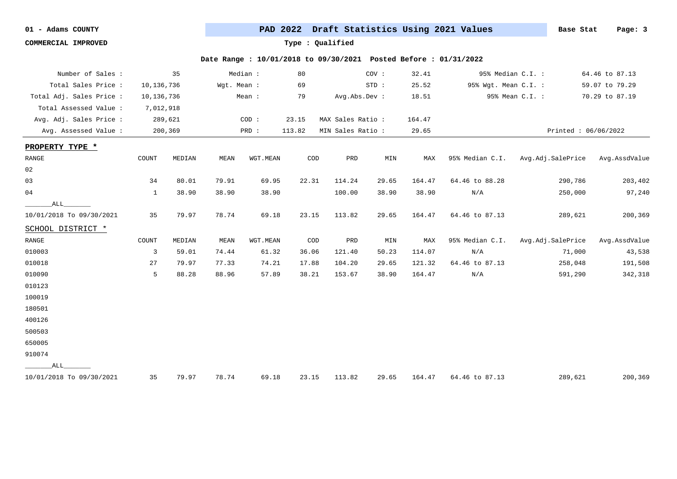**COMMERCIAL IMPROVED Type : Qualified**

| Number of Sales :        |              | 35      |             | Median : | 80     |                   | COV:  | 32.41  |                         | 95% Median C.I. :   | 64.46 to 87.13 |
|--------------------------|--------------|---------|-------------|----------|--------|-------------------|-------|--------|-------------------------|---------------------|----------------|
| Total Sales Price :      | 10,136,736   |         | Wgt. Mean : |          | 69     |                   | STD:  | 25.52  | 95% Wgt. Mean C.I. :    |                     | 59.07 to 79.29 |
| Total Adj. Sales Price : | 10,136,736   |         |             | Mean :   | 79     | Avg.Abs.Dev :     |       | 18.51  |                         | 95% Mean C.I. :     | 70.29 to 87.19 |
| Total Assessed Value :   | 7,012,918    |         |             |          |        |                   |       |        |                         |                     |                |
| Avg. Adj. Sales Price :  |              | 289,621 |             | COD:     | 23.15  | MAX Sales Ratio : |       | 164.47 |                         |                     |                |
| Avg. Assessed Value :    |              | 200,369 |             | PRD :    | 113.82 | MIN Sales Ratio : |       | 29.65  |                         | Printed: 06/06/2022 |                |
| PROPERTY TYPE *          |              |         |             |          |        |                   |       |        |                         |                     |                |
| RANGE                    | COUNT        | MEDIAN  | MEAN        | WGT.MEAN | COD    | PRD               | MIN   | MAX    | 95% Median C.I.         | Avg.Adj.SalePrice   | Avg.AssdValue  |
| 02                       |              |         |             |          |        |                   |       |        |                         |                     |                |
| 03                       | 34           | 80.01   | 79.91       | 69.95    | 22.31  | 114.24            | 29.65 | 164.47 | 64.46 to 88.28          | 290,786             | 203,402        |
| 04                       | $\mathbf{1}$ | 38.90   | 38.90       | 38.90    |        | 100.00            | 38.90 | 38.90  | $\mathrm{N}/\mathrm{A}$ | 250,000             | 97,240         |
| ALL                      |              |         |             |          |        |                   |       |        |                         |                     |                |
| 10/01/2018 To 09/30/2021 | 35           | 79.97   | 78.74       | 69.18    | 23.15  | 113.82            | 29.65 | 164.47 | 64.46 to 87.13          | 289,621             | 200,369        |
| SCHOOL DISTRICT *        |              |         |             |          |        |                   |       |        |                         |                     |                |
| RANGE                    | COUNT        | MEDIAN  | MEAN        | WGT.MEAN | COD    | PRD               | MIN   | MAX    | 95% Median C.I.         | Avg.Adj.SalePrice   | Avg.AssdValue  |
| 010003                   | 3            | 59.01   | 74.44       | 61.32    | 36.06  | 121.40            | 50.23 | 114.07 | N/A                     | 71,000              | 43,538         |
| 010018                   | 27           | 79.97   | 77.33       | 74.21    | 17.88  | 104.20            | 29.65 | 121.32 | 64.46 to 87.13          | 258,048             | 191,508        |
| 010090                   | 5            | 88.28   | 88.96       | 57.89    | 38.21  | 153.67            | 38.90 | 164.47 | N/A                     | 591,290             | 342,318        |
| 010123                   |              |         |             |          |        |                   |       |        |                         |                     |                |
| 100019                   |              |         |             |          |        |                   |       |        |                         |                     |                |
| 180501                   |              |         |             |          |        |                   |       |        |                         |                     |                |
| 400126                   |              |         |             |          |        |                   |       |        |                         |                     |                |
| 500503                   |              |         |             |          |        |                   |       |        |                         |                     |                |
| 650005                   |              |         |             |          |        |                   |       |        |                         |                     |                |
| 910074                   |              |         |             |          |        |                   |       |        |                         |                     |                |
| ALL                      |              |         |             |          |        |                   |       |        |                         |                     |                |
| 10/01/2018 To 09/30/2021 | 35           | 79.97   | 78.74       | 69.18    | 23.15  | 113.82            | 29.65 | 164.47 | 64.46 to 87.13          | 289,621             | 200,369        |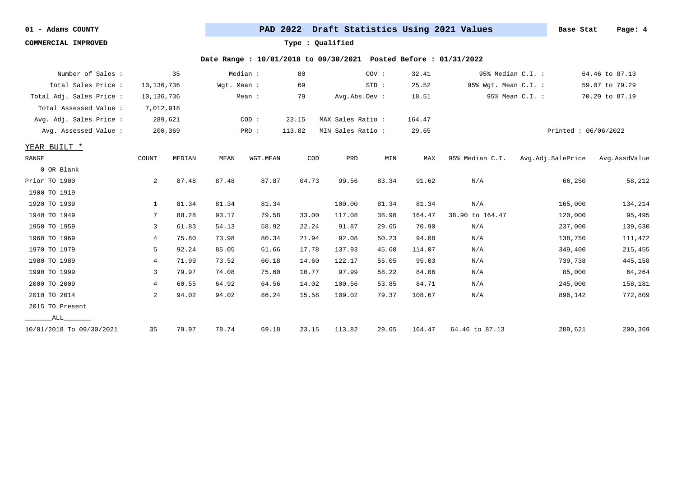**COMMERCIAL IMPROVED Type : Qualified**

| Number of Sales :        |                | 35      |             | Median : | 80     |                   | COV:  | 32.41  | 95% Median C.I. :    |                     | 64.46 to 87.13 |
|--------------------------|----------------|---------|-------------|----------|--------|-------------------|-------|--------|----------------------|---------------------|----------------|
| Total Sales Price :      | 10,136,736     |         | Wgt. Mean : |          | 69     |                   | STD:  | 25.52  | 95% Wgt. Mean C.I. : |                     | 59.07 to 79.29 |
| Total Adj. Sales Price : | 10,136,736     |         |             | Mean :   | 79     | Avg.Abs.Dev :     |       | 18.51  |                      | 95% Mean C.I. :     | 70.29 to 87.19 |
| Total Assessed Value :   | 7,012,918      |         |             |          |        |                   |       |        |                      |                     |                |
| Avg. Adj. Sales Price :  |                | 289,621 |             | COD:     | 23.15  | MAX Sales Ratio : |       | 164.47 |                      |                     |                |
| Avg. Assessed Value :    |                | 200,369 |             | PRD :    | 113.82 | MIN Sales Ratio : |       | 29.65  |                      | Printed: 06/06/2022 |                |
| YEAR BUILT *             |                |         |             |          |        |                   |       |        |                      |                     |                |
| RANGE                    | COUNT          | MEDIAN  | MEAN        | WGT.MEAN | COD    | PRD               | MIN   | MAX    | 95% Median C.I.      | Avg.Adj.SalePrice   | Avg.AssdValue  |
| 0 OR Blank               |                |         |             |          |        |                   |       |        |                      |                     |                |
| Prior TO 1900            | 2              | 87.48   | 87.48       | 87.87    | 04.73  | 99.56             | 83.34 | 91.62  | N/A                  | 66,250              | 58,212         |
| 1900 TO 1919             |                |         |             |          |        |                   |       |        |                      |                     |                |
| 1920 TO 1939             | 1              | 81.34   | 81.34       | 81.34    |        | 100.00            | 81.34 | 81.34  | N/A                  | 165,000             | 134,214        |
| 1940 TO 1949             | 7              | 88.28   | 93.17       | 79.58    | 33.00  | 117.08            | 38.90 | 164.47 | 38.90 to 164.47      | 120,000             | 95,495         |
| 1950 TO 1959             | 3              | 61.83   | 54.13       | 58.92    | 22.24  | 91.87             | 29.65 | 70.90  | N/A                  | 237,000             | 139,630        |
| 1960 TO 1969             | 4              | 75.80   | 73.98       | 80.34    | 21.94  | 92.08             | 50.23 | 94.08  | N/A                  | 138,750             | 111,472        |
| 1970 TO 1979             | 5              | 92.24   | 85.05       | 61.66    | 17.78  | 137.93            | 45.60 | 114.07 | N/A                  | 349,400             | 215,455        |
| 1980 TO 1989             | 4              | 71.99   | 73.52       | 60.18    | 14.60  | 122.17            | 55.05 | 95.03  | N/A                  | 739,738             | 445,158        |
| 1990 TO 1999             | 3              | 79.97   | 74.08       | 75.60    | 10.77  | 97.99             | 58.22 | 84.06  | N/A                  | 85,000              | 64,264         |
| 2000 TO 2009             | 4              | 60.55   | 64.92       | 64.56    | 14.02  | 100.56            | 53.85 | 84.71  | N/A                  | 245,000             | 158,181        |
| 2010 TO 2014             | $\overline{2}$ | 94.02   | 94.02       | 86.24    | 15.58  | 109.02            | 79.37 | 108.67 | N/A                  | 896,142             | 772,809        |
| 2015 TO Present          |                |         |             |          |        |                   |       |        |                      |                     |                |
| ALL                      |                |         |             |          |        |                   |       |        |                      |                     |                |
| 10/01/2018 To 09/30/2021 | 35             | 79.97   | 78.74       | 69.18    | 23.15  | 113.82            | 29.65 | 164.47 | 64.46 to 87.13       | 289,621             | 200,369        |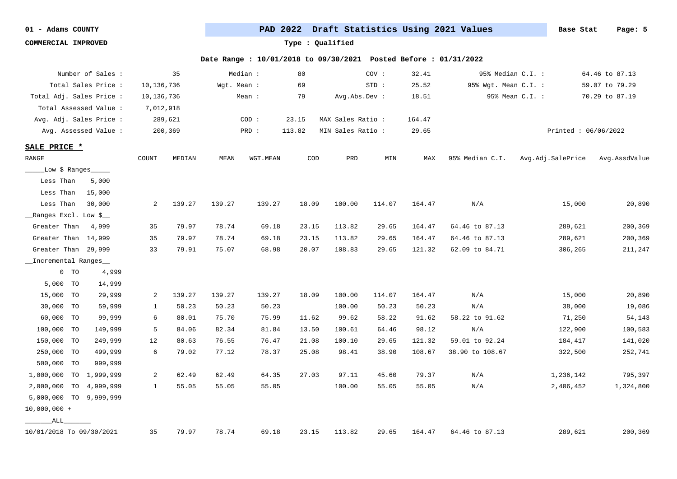**COMMERCIAL IMPROVED Type : Qualified**

|                          | Number of Sales : |              | 35      |             | Median : | 80     |                   | COV :  | 32.41  |                      | 95% Median C.I. :   | 64.46 to 87.13 |
|--------------------------|-------------------|--------------|---------|-------------|----------|--------|-------------------|--------|--------|----------------------|---------------------|----------------|
| Total Sales Price :      |                   | 10, 136, 736 |         | Wgt. Mean : |          | 69     |                   | STD:   | 25.52  | 95% Wgt. Mean C.I. : |                     | 59.07 to 79.29 |
| Total Adj. Sales Price : |                   | 10,136,736   |         |             | Mean :   | 79     | Avg.Abs.Dev :     |        | 18.51  |                      | 95% Mean C.I. :     | 70.29 to 87.19 |
| Total Assessed Value :   |                   | 7,012,918    |         |             |          |        |                   |        |        |                      |                     |                |
| Avg. Adj. Sales Price :  |                   |              | 289,621 |             | COD:     | 23.15  | MAX Sales Ratio : |        | 164.47 |                      |                     |                |
| Avg. Assessed Value:     |                   |              | 200,369 |             | PRD :    | 113.82 | MIN Sales Ratio:  |        | 29.65  |                      | Printed: 06/06/2022 |                |
| SALE PRICE *             |                   |              |         |             |          |        |                   |        |        |                      |                     |                |
| RANGE                    |                   | COUNT        | MEDIAN  | MEAN        | WGT.MEAN | COD    | PRD               | MIN    | MAX    | 95% Median C.I.      | Avg.Adj.SalePrice   | Avg.AssdValue  |
| _Low \$ Ranges_____      |                   |              |         |             |          |        |                   |        |        |                      |                     |                |
| Less Than                | 5,000             |              |         |             |          |        |                   |        |        |                      |                     |                |
| Less Than                | 15,000            |              |         |             |          |        |                   |        |        |                      |                     |                |
| Less Than                | 30,000            | 2            | 139.27  | 139.27      | 139.27   | 18.09  | 100.00            | 114.07 | 164.47 | N/A                  | 15,000              | 20,890         |
| __Ranges Excl. Low \$__  |                   |              |         |             |          |        |                   |        |        |                      |                     |                |
| Greater Than             | 4,999             | 35           | 79.97   | 78.74       | 69.18    | 23.15  | 113.82            | 29.65  | 164.47 | 64.46 to 87.13       | 289,621             | 200,369        |
| Greater Than 14,999      |                   | 35           | 79.97   | 78.74       | 69.18    | 23.15  | 113.82            | 29.65  | 164.47 | 64.46 to 87.13       | 289,621             | 200,369        |
| Greater Than 29,999      |                   | 33           | 79.91   | 75.07       | 68.98    | 20.07  | 108.83            | 29.65  | 121.32 | 62.09 to 84.71       | 306,265             | 211,247        |
| _Incremental Ranges_     |                   |              |         |             |          |        |                   |        |        |                      |                     |                |
| $0$ TO                   | 4,999             |              |         |             |          |        |                   |        |        |                      |                     |                |
| 5,000 TO                 | 14,999            |              |         |             |          |        |                   |        |        |                      |                     |                |
| 15,000<br><b>TO</b>      | 29,999            | 2            | 139.27  | 139.27      | 139.27   | 18.09  | 100.00            | 114.07 | 164.47 | N/A                  | 15,000              | 20,890         |
| 30,000 TO                | 59,999            | 1            | 50.23   | 50.23       | 50.23    |        | 100.00            | 50.23  | 50.23  | N/A                  | 38,000              | 19,086         |
| 60,000 TO                | 99,999            | 6            | 80.01   | 75.70       | 75.99    | 11.62  | 99.62             | 58.22  | 91.62  | 58.22 to 91.62       | 71,250              | 54,143         |
| 100,000 TO               | 149,999           | 5            | 84.06   | 82.34       | 81.84    | 13.50  | 100.61            | 64.46  | 98.12  | N/A                  | 122,900             | 100,583        |
| 150,000 TO               | 249,999           | 12           | 80.63   | 76.55       | 76.47    | 21.08  | 100.10            | 29.65  | 121.32 | 59.01 to 92.24       | 184,417             | 141,020        |
| 250,000 TO               | 499,999           | 6            | 79.02   | 77.12       | 78.37    | 25.08  | 98.41             | 38.90  | 108.67 | 38.90 to 108.67      | 322,500             | 252,741        |
| 500,000 TO               | 999,999           |              |         |             |          |        |                   |        |        |                      |                     |                |
| 1,000,000 TO 1,999,999   |                   | 2            | 62.49   | 62.49       | 64.35    | 27.03  | 97.11             | 45.60  | 79.37  | N/A                  | 1,236,142           | 795,397        |
| 2,000,000 TO             | 4,999,999         | 1            | 55.05   | 55.05       | 55.05    |        | 100.00            | 55.05  | 55.05  | N/A                  | 2,406,452           | 1,324,800      |
| 5,000,000 TO 9,999,999   |                   |              |         |             |          |        |                   |        |        |                      |                     |                |
| $10,000,000 +$           |                   |              |         |             |          |        |                   |        |        |                      |                     |                |
| ALL                      |                   |              |         |             |          |        |                   |        |        |                      |                     |                |
| 10/01/2018 To 09/30/2021 |                   | 35           | 79.97   | 78.74       | 69.18    | 23.15  | 113.82            | 29.65  | 164.47 | 64.46 to 87.13       | 289,621             | 200,369        |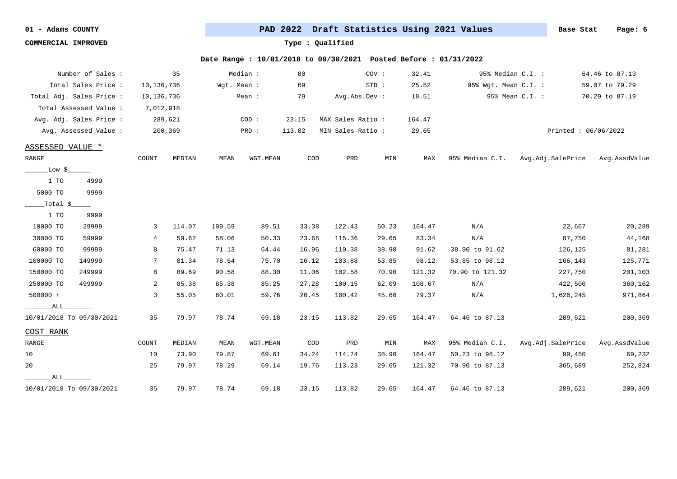**COMMERCIAL IMPROVED Type : Qualified**

| Number of Sales :        |        |            | 35      |             | Median : | 80     |                   | COV:  | 32.41  | 95% Median C.I. :    |                     | 64.46 to 87.13 |
|--------------------------|--------|------------|---------|-------------|----------|--------|-------------------|-------|--------|----------------------|---------------------|----------------|
| Total Sales Price :      |        | 10,136,736 |         | Wgt. Mean : |          | 69     |                   | STD:  | 25.52  | 95% Wgt. Mean C.I. : |                     | 59.07 to 79.29 |
| Total Adj. Sales Price : |        | 10,136,736 |         |             | Mean :   | 79     | Avg.Abs.Dev :     |       | 18.51  |                      | 95% Mean C.I. :     | 70.29 to 87.19 |
| Total Assessed Value :   |        | 7,012,918  |         |             |          |        |                   |       |        |                      |                     |                |
| Avg. Adj. Sales Price :  |        |            | 289,621 |             | COD:     | 23.15  | MAX Sales Ratio : |       | 164.47 |                      |                     |                |
| Avg. Assessed Value :    |        |            | 200,369 |             | PRD :    | 113.82 | MIN Sales Ratio : |       | 29.65  |                      | Printed: 06/06/2022 |                |
| ASSESSED VALUE *         |        |            |         |             |          |        |                   |       |        |                      |                     |                |
| <b>RANGE</b>             |        | COUNT      | MEDIAN  | MEAN        | WGT.MEAN | COD    | PRD               | MIN   | MAX    | 95% Median C.I.      | Avg.Adj.SalePrice   | Avg.AssdValue  |
| Low \$                   |        |            |         |             |          |        |                   |       |        |                      |                     |                |
| 1 TO                     | 4999   |            |         |             |          |        |                   |       |        |                      |                     |                |
| 5000 TO                  | 9999   |            |         |             |          |        |                   |       |        |                      |                     |                |
| _Total \$_               |        |            |         |             |          |        |                   |       |        |                      |                     |                |
| 1 TO                     | 9999   |            |         |             |          |        |                   |       |        |                      |                     |                |
| 10000 TO                 | 29999  | 3          | 114.07  | 109.59      | 89.51    | 33.38  | 122.43            | 50.23 | 164.47 | N/A                  | 22,667              | 20,289         |
| 30000 TO                 | 59999  | 4          | 59.62   | 58.06       | 50.33    | 23.68  | 115.36            | 29.65 | 83.34  | N/A                  | 87,750              | 44,168         |
| 60000 TO                 | 99999  | 8          | 75.47   | 71.13       | 64.44    | 16.96  | 110.38            | 38.90 | 91.62  | 38.90 to 91.62       | 126,125             | 81,281         |
| 100000 TO                | 149999 | 7          | 81.34   | 78.64       | 75.70    | 16.12  | 103.88            | 53.85 | 98.12  | 53.85 to 98.12       | 166,143             | 125,771        |
| 150000 TO                | 249999 | 8          | 89.69   | 90.58       | 88.30    | 11.06  | 102.58            | 70.90 | 121.32 | 70.90 to 121.32      | 227,750             | 201,103        |
| 250000 TO                | 499999 | 2          | 85.38   | 85.38       | 85.25    | 27.28  | 100.15            | 62.09 | 108.67 | N/A                  | 422,500             | 360,162        |
| $500000 +$               |        | 3          | 55.05   | 60.01       | 59.76    | 20.45  | 100.42            | 45.60 | 79.37  | N/A                  | 1,626,245           | 971,864        |
| ALL                      |        |            |         |             |          |        |                   |       |        |                      |                     |                |
| 10/01/2018 To 09/30/2021 |        | 35         | 79.97   | 78.74       | 69.18    | 23.15  | 113.82            | 29.65 | 164.47 | 64.46 to 87.13       | 289,621             | 200,369        |
| COST RANK                |        |            |         |             |          |        |                   |       |        |                      |                     |                |
| RANGE                    |        | COUNT      | MEDIAN  | MEAN        | WGT.MEAN | COD    | PRD               | MIN   | MAX    | 95% Median C.I.      | Avg.Adj.SalePrice   | Avg.AssdValue  |
| 10                       |        | 10         | 73.90   | 79.87       | 69.61    | 34.24  | 114.74            | 38.90 | 164.47 | 50.23 to 98.12       | 99,450              | 69,232         |
| 20                       |        | 25         | 79.97   | 78.29       | 69.14    | 19.76  | 113.23            | 29.65 | 121.32 | 70.90 to 87.13       | 365,689             | 252,824        |
| ALL                      |        |            |         |             |          |        |                   |       |        |                      |                     |                |
| 10/01/2018 To 09/30/2021 |        | 35         | 79.97   | 78.74       | 69.18    | 23.15  | 113.82            | 29.65 | 164.47 | 64.46 to 87.13       | 289,621             | 200,369        |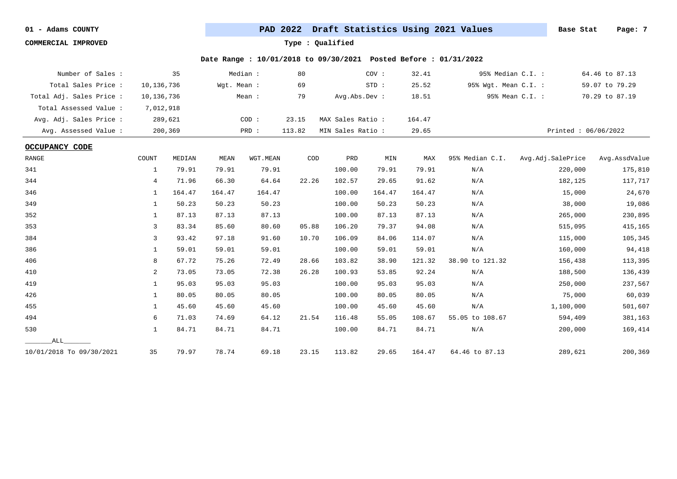**COMMERCIAL IMPROVED Type : Qualified**

| Number of Sales :        |            | 35      |             | Median : | 80     |                   | COV:   | 32.41  | 95% Median C.I. :    |                     | 64.46 to 87.13 |
|--------------------------|------------|---------|-------------|----------|--------|-------------------|--------|--------|----------------------|---------------------|----------------|
| Total Sales Price :      | 10,136,736 |         | Wgt. Mean : |          | 69     |                   | STD:   | 25.52  | 95% Wgt. Mean C.I. : |                     | 59.07 to 79.29 |
| Total Adj. Sales Price : | 10,136,736 |         |             | Mean :   | 79     | Avg.Abs.Dev :     |        | 18.51  |                      | 95% Mean C.I. :     | 70.29 to 87.19 |
| Total Assessed Value:    | 7,012,918  |         |             |          |        |                   |        |        |                      |                     |                |
| Avg. Adj. Sales Price :  |            | 289,621 |             | COD:     | 23.15  | MAX Sales Ratio:  |        | 164.47 |                      |                     |                |
| Avg. Assessed Value :    |            | 200,369 |             | PRD :    | 113.82 | MIN Sales Ratio : |        | 29.65  |                      | Printed: 06/06/2022 |                |
| <b>OCCUPANCY CODE</b>    |            |         |             |          |        |                   |        |        |                      |                     |                |
| RANGE                    | COUNT      | MEDIAN  | MEAN        | WGT.MEAN | COD    | PRD               | MIN    | MAX    | 95% Median C.I.      | Avg.Adj.SalePrice   | Avg.AssdValue  |
| 341                      | 1          | 79.91   | 79.91       | 79.91    |        | 100.00            | 79.91  | 79.91  | N/A                  | 220,000             | 175,810        |
| 344                      | 4          | 71.96   | 66.30       | 64.64    | 22.26  | 102.57            | 29.65  | 91.62  | N/A                  | 182,125             | 117,717        |
| 346                      | 1          | 164.47  | 164.47      | 164.47   |        | 100.00            | 164.47 | 164.47 | N/A                  | 15,000              | 24,670         |
| 349                      | 1          | 50.23   | 50.23       | 50.23    |        | 100.00            | 50.23  | 50.23  | N/A                  | 38,000              | 19,086         |
| 352                      | 1          | 87.13   | 87.13       | 87.13    |        | 100.00            | 87.13  | 87.13  | N/A                  | 265,000             | 230,895        |
| 353                      | 3          | 83.34   | 85.60       | 80.60    | 05.88  | 106.20            | 79.37  | 94.08  | N/A                  | 515,095             | 415,165        |
| 384                      | 3          | 93.42   | 97.18       | 91.60    | 10.70  | 106.09            | 84.06  | 114.07 | N/A                  | 115,000             | 105,345        |
| 386                      | 1          | 59.01   | 59.01       | 59.01    |        | 100.00            | 59.01  | 59.01  | N/A                  | 160,000             | 94,418         |
| 406                      | 8          | 67.72   | 75.26       | 72.49    | 28.66  | 103.82            | 38.90  | 121.32 | 38.90 to 121.32      | 156,438             | 113,395        |
| 410                      | 2          | 73.05   | 73.05       | 72.38    | 26.28  | 100.93            | 53.85  | 92.24  | N/A                  | 188,500             | 136,439        |
| 419                      | 1          | 95.03   | 95.03       | 95.03    |        | 100.00            | 95.03  | 95.03  | N/A                  | 250,000             | 237,567        |
| 426                      | 1          | 80.05   | 80.05       | 80.05    |        | 100.00            | 80.05  | 80.05  | N/A                  | 75,000              | 60,039         |
| 455                      | 1          | 45.60   | 45.60       | 45.60    |        | 100.00            | 45.60  | 45.60  | N/A                  | 1,100,000           | 501,607        |
| 494                      | 6          | 71.03   | 74.69       | 64.12    | 21.54  | 116.48            | 55.05  | 108.67 | 55.05 to 108.67      | 594,409             | 381,163        |
| 530                      | 1          | 84.71   | 84.71       | 84.71    |        | 100.00            | 84.71  | 84.71  | N/A                  | 200,000             | 169,414        |
| ALL                      |            |         |             |          |        |                   |        |        |                      |                     |                |
| 10/01/2018 To 09/30/2021 | 35         | 79.97   | 78.74       | 69.18    | 23.15  | 113.82            | 29.65  | 164.47 | 64.46 to 87.13       | 289,621             | 200,369        |